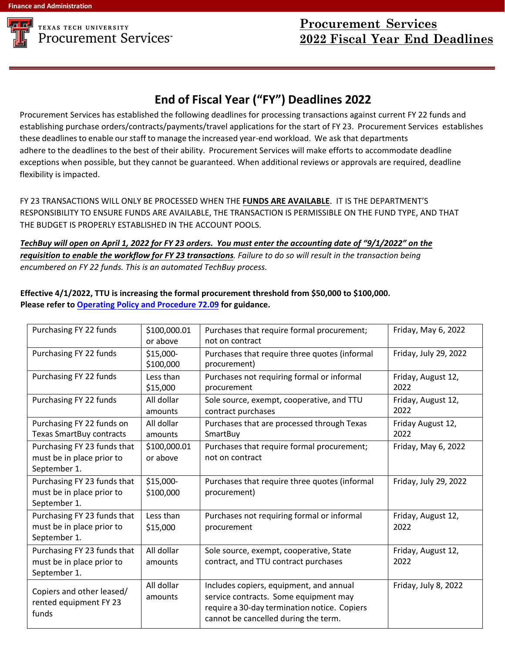

## **TEXAS TECH UNIVERSITY Procurement Services™**

## **End of Fiscal Year ("FY") Deadlines 2022**

Procurement Services has established the following deadlines for processing transactions against current FY 22 funds and establishing purchase orders/contracts/payments/travel applications for the start of FY 23. Procurement Services establishes these deadlines to enable our staff to manage the increased year-end workload. We ask that departments adhere to the deadlines to the best of their ability. Procurement Services will make efforts to accommodate deadline exceptions when possible, but they cannot be guaranteed. When additional reviews or approvals are required, deadline flexibility is impacted.

FY 23 TRANSACTIONS WILL ONLY BE PROCESSED WHEN THE **FUNDS ARE AVAILABLE**. IT IS THE DEPARTMENT'S RESPONSIBILITY TO ENSURE FUNDS ARE AVAILABLE, THE TRANSACTION IS PERMISSIBLE ON THE FUND TYPE, AND THAT THE BUDGET IS PROPERLY ESTABLISHED IN THE ACCOUNT POOLS.

TechBuy will open on April 1, 2022 for FY 23 orders. You must enter the accounting date of "9/1/2022" on the requisition to enable the workflow for FY 23 transactions. Failure to do so will result in the transaction being *encumbered on FY 22 funds. This is an automated TechBuy process.*

**Effective 4/1/2022, TTU is increasing the formal procurement threshold from \$50,000 to \$100,000. Please refer to Operating Policy and Procedure 72.09 for guidance.** 

| Purchasing FY 22 funds                                                   | \$100,000.01<br>or above | Purchases that require formal procurement;<br>not on contract                                                                                                            | Friday, May 6, 2022        |
|--------------------------------------------------------------------------|--------------------------|--------------------------------------------------------------------------------------------------------------------------------------------------------------------------|----------------------------|
| Purchasing FY 22 funds                                                   | \$15,000-<br>\$100,000   | Purchases that require three quotes (informal<br>procurement)                                                                                                            | Friday, July 29, 2022      |
| Purchasing FY 22 funds                                                   | Less than<br>\$15,000    | Purchases not requiring formal or informal<br>procurement                                                                                                                | Friday, August 12,<br>2022 |
| Purchasing FY 22 funds                                                   | All dollar<br>amounts    | Sole source, exempt, cooperative, and TTU<br>contract purchases                                                                                                          | Friday, August 12,<br>2022 |
| Purchasing FY 22 funds on<br><b>Texas SmartBuy contracts</b>             | All dollar<br>amounts    | Purchases that are processed through Texas<br>SmartBuy                                                                                                                   | Friday August 12,<br>2022  |
| Purchasing FY 23 funds that<br>must be in place prior to<br>September 1. | \$100,000.01<br>or above | Purchases that require formal procurement;<br>not on contract                                                                                                            | Friday, May 6, 2022        |
| Purchasing FY 23 funds that<br>must be in place prior to<br>September 1. | \$15,000-<br>\$100,000   | Purchases that require three quotes (informal<br>procurement)                                                                                                            | Friday, July 29, 2022      |
| Purchasing FY 23 funds that<br>must be in place prior to<br>September 1. | Less than<br>\$15,000    | Purchases not requiring formal or informal<br>procurement                                                                                                                | Friday, August 12,<br>2022 |
| Purchasing FY 23 funds that<br>must be in place prior to<br>September 1. | All dollar<br>amounts    | Sole source, exempt, cooperative, State<br>contract, and TTU contract purchases                                                                                          | Friday, August 12,<br>2022 |
| Copiers and other leased/<br>rented equipment FY 23<br>funds             | All dollar<br>amounts    | Includes copiers, equipment, and annual<br>service contracts. Some equipment may<br>require a 30-day termination notice. Copiers<br>cannot be cancelled during the term. | Friday, July 8, 2022       |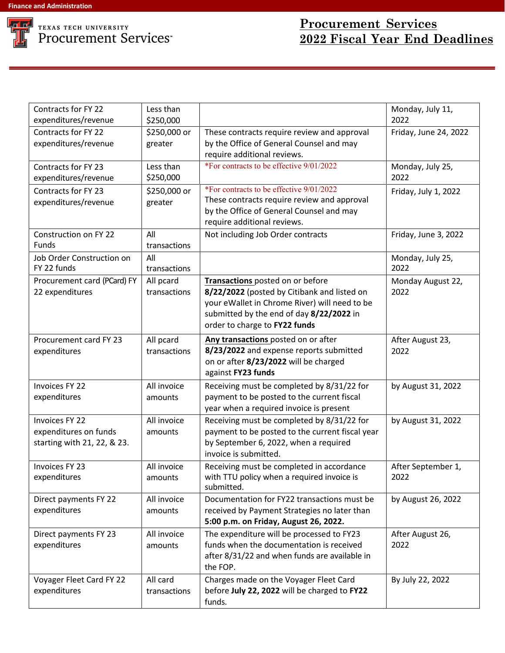

| Contracts for FY 22<br>expenditures/revenue                                   | Less than<br>\$250,000    |                                                                                                                                                                                                               | Monday, July 11,<br>2022   |
|-------------------------------------------------------------------------------|---------------------------|---------------------------------------------------------------------------------------------------------------------------------------------------------------------------------------------------------------|----------------------------|
| Contracts for FY 22<br>expenditures/revenue                                   | \$250,000 or<br>greater   | These contracts require review and approval<br>by the Office of General Counsel and may<br>require additional reviews.                                                                                        | Friday, June 24, 2022      |
| Contracts for FY 23<br>expenditures/revenue                                   | Less than<br>\$250,000    | *For contracts to be effective 9/01/2022                                                                                                                                                                      | Monday, July 25,<br>2022   |
| Contracts for FY 23<br>expenditures/revenue                                   | \$250,000 or<br>greater   | *For contracts to be effective 9/01/2022<br>These contracts require review and approval<br>by the Office of General Counsel and may<br>require additional reviews.                                            | Friday, July 1, 2022       |
| Construction on FY 22<br><b>Funds</b>                                         | All<br>transactions       | Not including Job Order contracts                                                                                                                                                                             | Friday, June 3, 2022       |
| Job Order Construction on<br>FY 22 funds                                      | All<br>transactions       |                                                                                                                                                                                                               | Monday, July 25,<br>2022   |
| Procurement card (PCard) FY<br>22 expenditures                                | All pcard<br>transactions | Transactions posted on or before<br>8/22/2022 (posted by Citibank and listed on<br>your eWallet in Chrome River) will need to be<br>submitted by the end of day 8/22/2022 in<br>order to charge to FY22 funds | Monday August 22,<br>2022  |
| Procurement card FY 23<br>expenditures                                        | All pcard<br>transactions | Any transactions posted on or after<br>8/23/2022 and expense reports submitted<br>on or after 8/23/2022 will be charged<br>against FY23 funds                                                                 | After August 23,<br>2022   |
| <b>Invoices FY 22</b><br>expenditures                                         | All invoice<br>amounts    | Receiving must be completed by 8/31/22 for<br>payment to be posted to the current fiscal<br>year when a required invoice is present                                                                           | by August 31, 2022         |
| <b>Invoices FY 22</b><br>expenditures on funds<br>starting with 21, 22, & 23. | All invoice<br>amounts    | Receiving must be completed by 8/31/22 for<br>payment to be posted to the current fiscal year<br>by September 6, 2022, when a required<br>invoice is submitted.                                               | by August 31, 2022         |
| Invoices FY 23<br>expenditures                                                | All invoice<br>amounts    | Receiving must be completed in accordance<br>with TTU policy when a required invoice is<br>submitted.                                                                                                         | After September 1,<br>2022 |
| Direct payments FY 22<br>expenditures                                         | All invoice<br>amounts    | Documentation for FY22 transactions must be<br>received by Payment Strategies no later than<br>5:00 p.m. on Friday, August 26, 2022.                                                                          | by August 26, 2022         |
| Direct payments FY 23<br>expenditures                                         | All invoice<br>amounts    | The expenditure will be processed to FY23<br>funds when the documentation is received<br>after 8/31/22 and when funds are available in<br>the FOP.                                                            | After August 26,<br>2022   |
| Voyager Fleet Card FY 22<br>expenditures                                      | All card<br>transactions  | Charges made on the Voyager Fleet Card<br>before July 22, 2022 will be charged to FY22<br>funds.                                                                                                              | By July 22, 2022           |